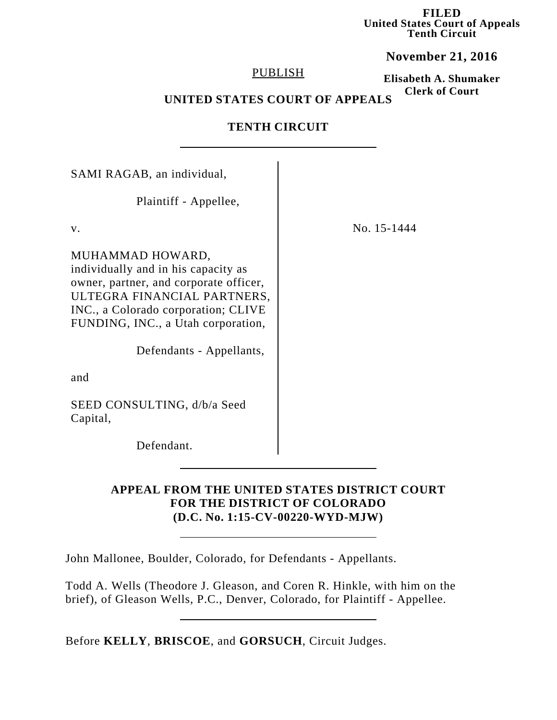**FILED United States Court of Appeals Tenth Circuit**

**November 21, 2016**

### PUBLISH

**Elisabeth A. Shumaker Clerk of Court**

# **UNITED STATES COURT OF APPEALS**

## **TENTH CIRCUIT**

| SAMI RAGAB, an individual,                                                                                                                                                                                                                |             |
|-------------------------------------------------------------------------------------------------------------------------------------------------------------------------------------------------------------------------------------------|-------------|
| Plaintiff - Appellee,                                                                                                                                                                                                                     |             |
| $V_{\cdot}$                                                                                                                                                                                                                               | No. 15-1444 |
| MUHAMMAD HOWARD,<br>individually and in his capacity as<br>owner, partner, and corporate officer,<br>ULTEGRA FINANCIAL PARTNERS,<br>INC., a Colorado corporation; CLIVE<br>FUNDING, INC., a Utah corporation,<br>Defendants - Appellants, |             |
| and                                                                                                                                                                                                                                       |             |
| SEED CONSULTING, d/b/a Seed<br>Capital,                                                                                                                                                                                                   |             |
| Defendant.                                                                                                                                                                                                                                |             |

## **APPEAL FROM THE UNITED STATES DISTRICT COURT FOR THE DISTRICT OF COLORADO (D.C. No. 1:15-CV-00220-WYD-MJW)**

John Mallonee, Boulder, Colorado, for Defendants - Appellants.

Todd A. Wells (Theodore J. Gleason, and Coren R. Hinkle, with him on the brief), of Gleason Wells, P.C., Denver, Colorado, for Plaintiff - Appellee.

Before **KELLY**, **BRISCOE**, and **GORSUCH**, Circuit Judges.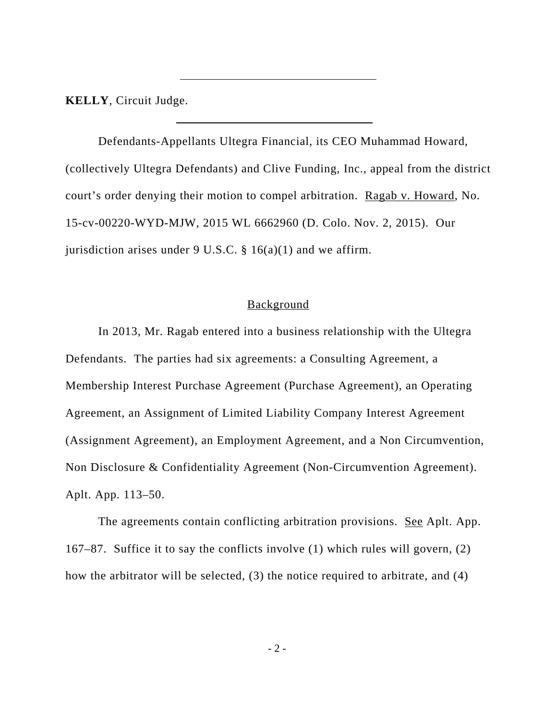**KELLY**, Circuit Judge.

Defendants-Appellants Ultegra Financial, its CEO Muhammad Howard, (collectively Ultegra Defendants) and Clive Funding, Inc., appeal from the district court's order denying their motion to compel arbitration. Ragab v. Howard, No. 15-cv-00220-WYD-MJW, 2015 WL 6662960 (D. Colo. Nov. 2, 2015). Our jurisdiction arises under 9 U.S.C.  $\S$  16(a)(1) and we affirm.

### **Background**

In 2013, Mr. Ragab entered into a business relationship with the Ultegra Defendants. The parties had six agreements: a Consulting Agreement, a Membership Interest Purchase Agreement (Purchase Agreement), an Operating Agreement, an Assignment of Limited Liability Company Interest Agreement (Assignment Agreement), an Employment Agreement, and a Non Circumvention, Non Disclosure & Confidentiality Agreement (Non-Circumvention Agreement). Aplt. App. 113–50.

The agreements contain conflicting arbitration provisions. See Aplt. App. 167–87. Suffice it to say the conflicts involve (1) which rules will govern, (2) how the arbitrator will be selected, (3) the notice required to arbitrate, and (4)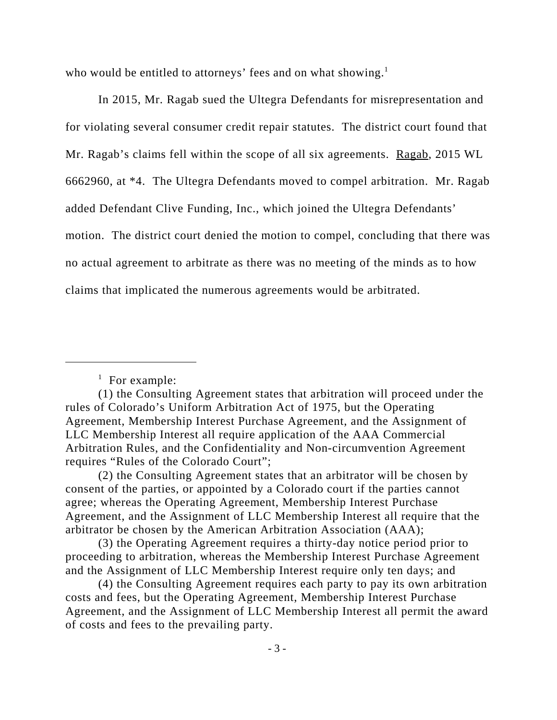who would be entitled to attorneys' fees and on what showing. $<sup>1</sup>$ </sup>

In 2015, Mr. Ragab sued the Ultegra Defendants for misrepresentation and for violating several consumer credit repair statutes. The district court found that Mr. Ragab's claims fell within the scope of all six agreements. Ragab, 2015 WL 6662960, at \*4. The Ultegra Defendants moved to compel arbitration. Mr. Ragab added Defendant Clive Funding, Inc., which joined the Ultegra Defendants' motion. The district court denied the motion to compel, concluding that there was no actual agreement to arbitrate as there was no meeting of the minds as to how claims that implicated the numerous agreements would be arbitrated.

<sup>&</sup>lt;sup>1</sup> For example:

<sup>(1)</sup> the Consulting Agreement states that arbitration will proceed under the rules of Colorado's Uniform Arbitration Act of 1975, but the Operating Agreement, Membership Interest Purchase Agreement, and the Assignment of LLC Membership Interest all require application of the AAA Commercial Arbitration Rules, and the Confidentiality and Non-circumvention Agreement requires "Rules of the Colorado Court";

<sup>(2)</sup> the Consulting Agreement states that an arbitrator will be chosen by consent of the parties, or appointed by a Colorado court if the parties cannot agree; whereas the Operating Agreement, Membership Interest Purchase Agreement, and the Assignment of LLC Membership Interest all require that the arbitrator be chosen by the American Arbitration Association (AAA);

<sup>(3)</sup> the Operating Agreement requires a thirty-day notice period prior to proceeding to arbitration, whereas the Membership Interest Purchase Agreement and the Assignment of LLC Membership Interest require only ten days; and

<sup>(4)</sup> the Consulting Agreement requires each party to pay its own arbitration costs and fees, but the Operating Agreement, Membership Interest Purchase Agreement, and the Assignment of LLC Membership Interest all permit the award of costs and fees to the prevailing party.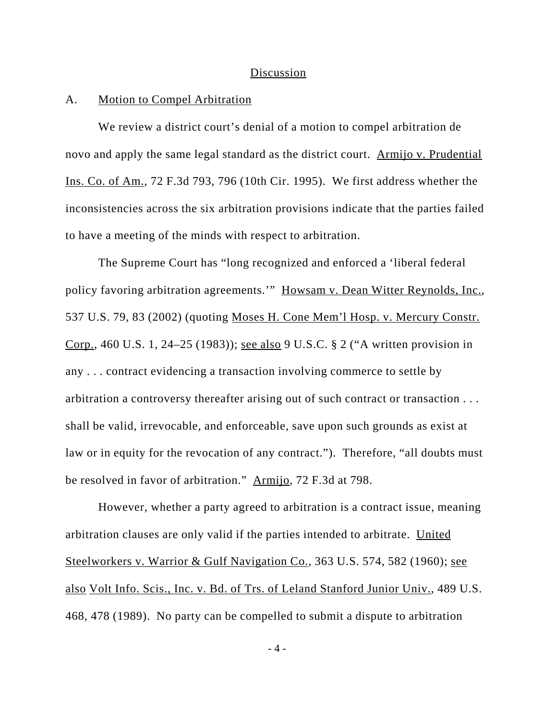#### Discussion

### A. Motion to Compel Arbitration

We review a district court's denial of a motion to compel arbitration de novo and apply the same legal standard as the district court. Armijo v. Prudential Ins. Co. of Am., 72 F.3d 793, 796 (10th Cir. 1995). We first address whether the inconsistencies across the six arbitration provisions indicate that the parties failed to have a meeting of the minds with respect to arbitration.

The Supreme Court has "long recognized and enforced a 'liberal federal policy favoring arbitration agreements.'" Howsam v. Dean Witter Reynolds, Inc., 537 U.S. 79, 83 (2002) (quoting Moses H. Cone Mem'l Hosp. v. Mercury Constr. Corp., 460 U.S. 1, 24–25 (1983)); see also 9 U.S.C. § 2 ("A written provision in any . . . contract evidencing a transaction involving commerce to settle by arbitration a controversy thereafter arising out of such contract or transaction . . . shall be valid, irrevocable, and enforceable, save upon such grounds as exist at law or in equity for the revocation of any contract."). Therefore, "all doubts must be resolved in favor of arbitration." Armijo, 72 F.3d at 798.

However, whether a party agreed to arbitration is a contract issue, meaning arbitration clauses are only valid if the parties intended to arbitrate. United Steelworkers v. Warrior & Gulf Navigation Co., 363 U.S. 574, 582 (1960); see also Volt Info. Scis., Inc. v. Bd. of Trs. of Leland Stanford Junior Univ., 489 U.S. 468, 478 (1989). No party can be compelled to submit a dispute to arbitration

- 4 -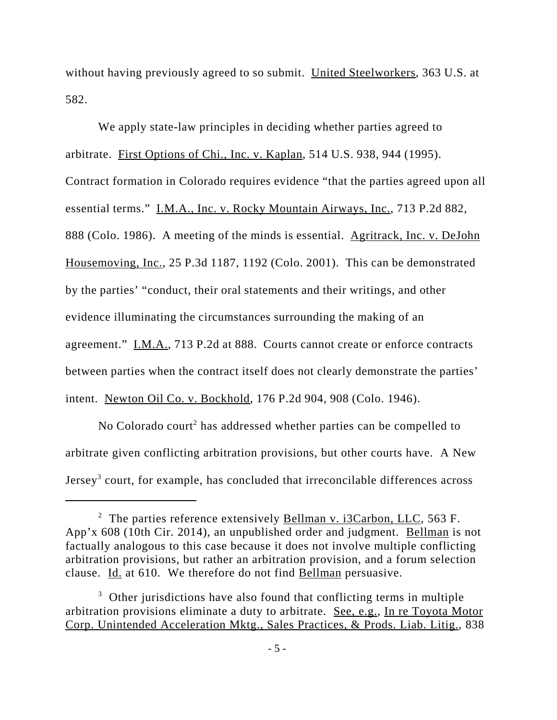without having previously agreed to so submit. United Steelworkers, 363 U.S. at 582.

We apply state-law principles in deciding whether parties agreed to arbitrate. First Options of Chi., Inc. v. Kaplan, 514 U.S. 938, 944 (1995). Contract formation in Colorado requires evidence "that the parties agreed upon all essential terms." I.M.A., Inc. v. Rocky Mountain Airways, Inc., 713 P.2d 882, 888 (Colo. 1986). A meeting of the minds is essential. Agritrack, Inc. v. DeJohn Housemoving, Inc., 25 P.3d 1187, 1192 (Colo. 2001). This can be demonstrated by the parties' "conduct, their oral statements and their writings, and other evidence illuminating the circumstances surrounding the making of an agreement." I.M.A., 713 P.2d at 888. Courts cannot create or enforce contracts between parties when the contract itself does not clearly demonstrate the parties' intent. Newton Oil Co. v. Bockhold, 176 P.2d 904, 908 (Colo. 1946).

No Colorado court<sup>2</sup> has addressed whether parties can be compelled to arbitrate given conflicting arbitration provisions, but other courts have. A New Jersey<sup>3</sup> court, for example, has concluded that irreconcilable differences across

<sup>&</sup>lt;sup>2</sup> The parties reference extensively **Bellman v. i3Carbon, LLC**, 563 F. App'x 608 (10th Cir. 2014), an unpublished order and judgment. Bellman is not factually analogous to this case because it does not involve multiple conflicting arbitration provisions, but rather an arbitration provision, and a forum selection clause. Id. at 610. We therefore do not find Bellman persuasive.

 $3$  Other jurisdictions have also found that conflicting terms in multiple arbitration provisions eliminate a duty to arbitrate. See, e.g., In re Toyota Motor Corp. Unintended Acceleration Mktg., Sales Practices, & Prods. Liab. Litig., 838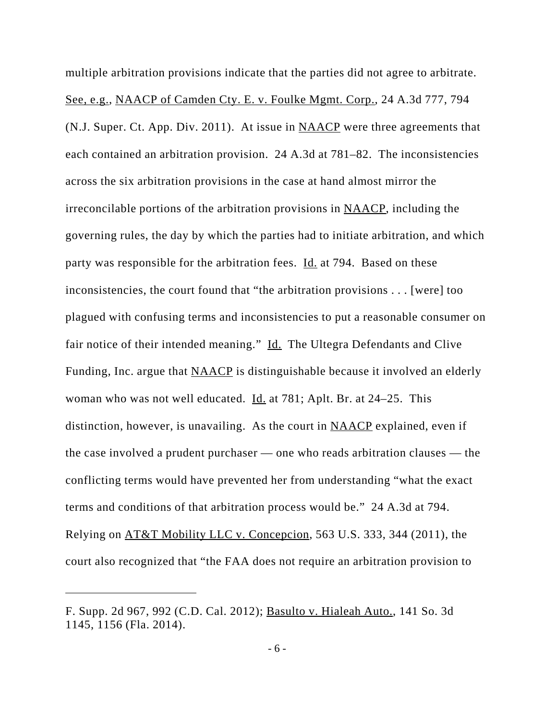multiple arbitration provisions indicate that the parties did not agree to arbitrate. See, e.g., NAACP of Camden Cty. E. v. Foulke Mgmt. Corp., 24 A.3d 777, 794 (N.J. Super. Ct. App. Div. 2011). At issue in NAACP were three agreements that each contained an arbitration provision. 24 A.3d at 781–82. The inconsistencies across the six arbitration provisions in the case at hand almost mirror the irreconcilable portions of the arbitration provisions in NAACP, including the governing rules, the day by which the parties had to initiate arbitration, and which party was responsible for the arbitration fees. Id. at 794. Based on these inconsistencies, the court found that "the arbitration provisions . . . [were] too plagued with confusing terms and inconsistencies to put a reasonable consumer on fair notice of their intended meaning." Id. The Ultegra Defendants and Clive Funding, Inc. argue that NAACP is distinguishable because it involved an elderly woman who was not well educated.  $\underline{Id}$  at 781; Aplt. Br. at 24–25. This distinction, however, is unavailing. As the court in NAACP explained, even if the case involved a prudent purchaser — one who reads arbitration clauses — the conflicting terms would have prevented her from understanding "what the exact terms and conditions of that arbitration process would be." 24 A.3d at 794. Relying on AT&T Mobility LLC v. Concepcion, 563 U.S. 333, 344 (2011), the court also recognized that "the FAA does not require an arbitration provision to

F. Supp. 2d 967, 992 (C.D. Cal. 2012); Basulto v. Hialeah Auto., 141 So. 3d 1145, 1156 (Fla. 2014).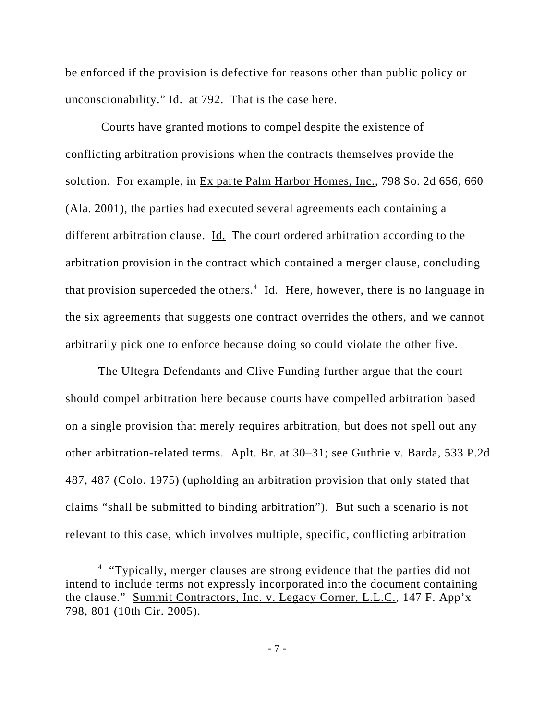be enforced if the provision is defective for reasons other than public policy or unconscionability."  $\underline{Id}$ . at 792. That is the case here.

 Courts have granted motions to compel despite the existence of conflicting arbitration provisions when the contracts themselves provide the solution. For example, in Ex parte Palm Harbor Homes, Inc., 798 So. 2d 656, 660 (Ala. 2001), the parties had executed several agreements each containing a different arbitration clause.  $\underline{Id}$ . The court ordered arbitration according to the arbitration provision in the contract which contained a merger clause, concluding that provision superceded the others.<sup>4</sup> Id. Here, however, there is no language in the six agreements that suggests one contract overrides the others, and we cannot arbitrarily pick one to enforce because doing so could violate the other five.

The Ultegra Defendants and Clive Funding further argue that the court should compel arbitration here because courts have compelled arbitration based on a single provision that merely requires arbitration, but does not spell out any other arbitration-related terms. Aplt. Br. at 30–31; see Guthrie v. Barda, 533 P.2d 487, 487 (Colo. 1975) (upholding an arbitration provision that only stated that claims "shall be submitted to binding arbitration"). But such a scenario is not relevant to this case, which involves multiple, specific, conflicting arbitration

<sup>&</sup>lt;sup>4</sup> "Typically, merger clauses are strong evidence that the parties did not intend to include terms not expressly incorporated into the document containing the clause." Summit Contractors, Inc. v. Legacy Corner, L.L.C., 147 F. App'x 798, 801 (10th Cir. 2005).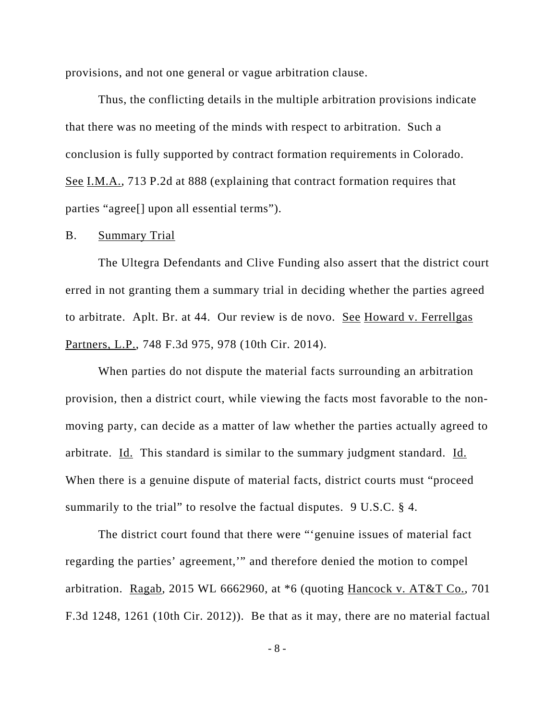provisions, and not one general or vague arbitration clause.

 Thus, the conflicting details in the multiple arbitration provisions indicate that there was no meeting of the minds with respect to arbitration. Such a conclusion is fully supported by contract formation requirements in Colorado. See I.M.A., 713 P.2d at 888 (explaining that contract formation requires that parties "agree[] upon all essential terms").

### B. Summary Trial

The Ultegra Defendants and Clive Funding also assert that the district court erred in not granting them a summary trial in deciding whether the parties agreed to arbitrate. Aplt. Br. at 44. Our review is de novo. See Howard v. Ferrellgas Partners, L.P., 748 F.3d 975, 978 (10th Cir. 2014).

When parties do not dispute the material facts surrounding an arbitration provision, then a district court, while viewing the facts most favorable to the nonmoving party, can decide as a matter of law whether the parties actually agreed to arbitrate. Id. This standard is similar to the summary judgment standard. Id. When there is a genuine dispute of material facts, district courts must "proceed summarily to the trial" to resolve the factual disputes. 9 U.S.C. § 4.

The district court found that there were "'genuine issues of material fact regarding the parties' agreement,'" and therefore denied the motion to compel arbitration. Ragab, 2015 WL 6662960, at  $*6$  (quoting Hancock v. AT&T Co., 701) F.3d 1248, 1261 (10th Cir. 2012)). Be that as it may, there are no material factual

- 8 -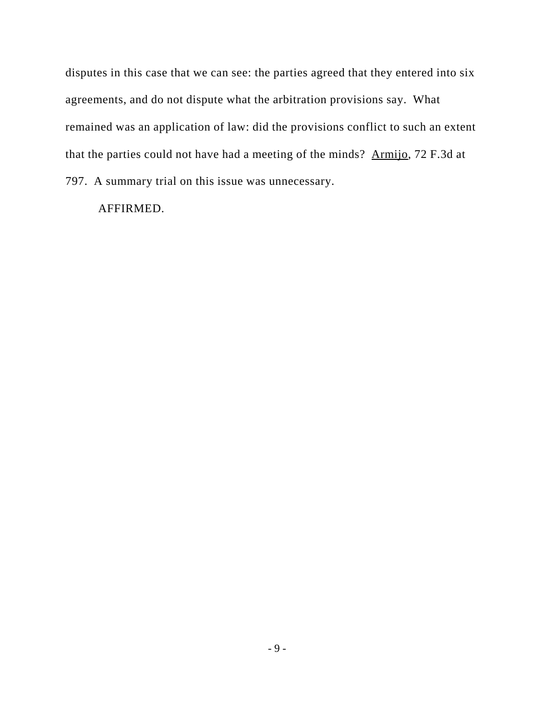disputes in this case that we can see: the parties agreed that they entered into six agreements, and do not dispute what the arbitration provisions say. What remained was an application of law: did the provisions conflict to such an extent that the parties could not have had a meeting of the minds? Armijo, 72 F.3d at 797. A summary trial on this issue was unnecessary.

AFFIRMED.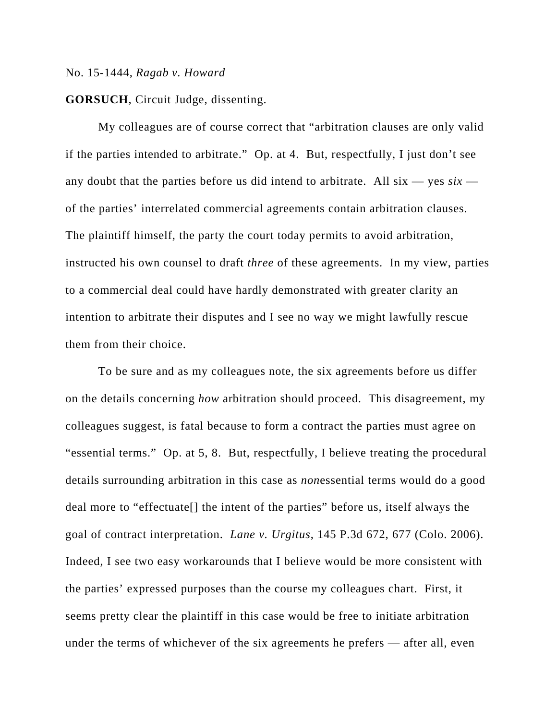#### No. 15-1444, *Ragab v. Howard*

**GORSUCH**, Circuit Judge, dissenting.

My colleagues are of course correct that "arbitration clauses are only valid if the parties intended to arbitrate." Op. at 4. But, respectfully, I just don't see any doubt that the parties before us did intend to arbitrate. All  $six - yes \, six$ of the parties' interrelated commercial agreements contain arbitration clauses. The plaintiff himself, the party the court today permits to avoid arbitration, instructed his own counsel to draft *three* of these agreements. In my view, parties to a commercial deal could have hardly demonstrated with greater clarity an intention to arbitrate their disputes and I see no way we might lawfully rescue them from their choice.

To be sure and as my colleagues note, the six agreements before us differ on the details concerning *how* arbitration should proceed. This disagreement, my colleagues suggest, is fatal because to form a contract the parties must agree on "essential terms." Op. at 5, 8. But, respectfully, I believe treating the procedural details surrounding arbitration in this case as *non*essential terms would do a good deal more to "effectuate[] the intent of the parties" before us, itself always the goal of contract interpretation. *Lane v. Urgitus*, 145 P.3d 672, 677 (Colo. 2006). Indeed, I see two easy workarounds that I believe would be more consistent with the parties' expressed purposes than the course my colleagues chart. First, it seems pretty clear the plaintiff in this case would be free to initiate arbitration under the terms of whichever of the six agreements he prefers — after all, even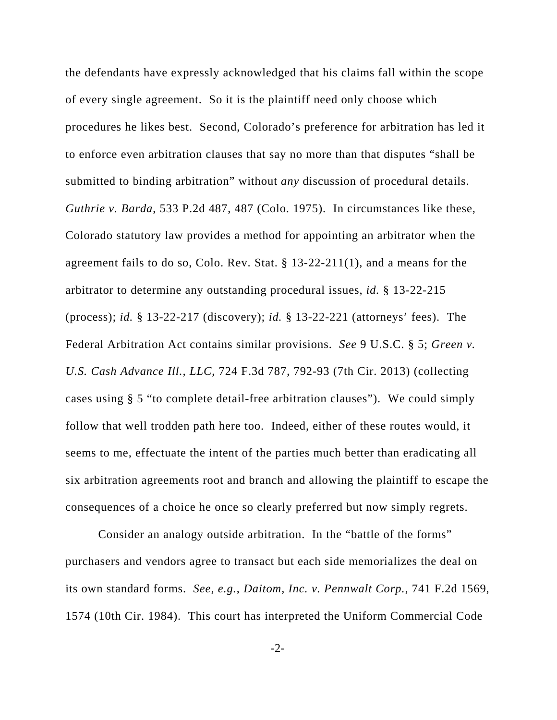the defendants have expressly acknowledged that his claims fall within the scope of every single agreement. So it is the plaintiff need only choose which procedures he likes best. Second, Colorado's preference for arbitration has led it to enforce even arbitration clauses that say no more than that disputes "shall be submitted to binding arbitration" without *any* discussion of procedural details. *Guthrie v. Barda*, 533 P.2d 487, 487 (Colo. 1975). In circumstances like these, Colorado statutory law provides a method for appointing an arbitrator when the agreement fails to do so, Colo. Rev. Stat. § 13-22-211(1), and a means for the arbitrator to determine any outstanding procedural issues, *id.* § 13-22-215 (process); *id.* § 13-22-217 (discovery); *id.* § 13-22-221 (attorneys' fees). The Federal Arbitration Act contains similar provisions. *See* 9 U.S.C. § 5; *Green v. U.S. Cash Advance Ill., LLC*, 724 F.3d 787, 792-93 (7th Cir. 2013) (collecting cases using § 5 "to complete detail-free arbitration clauses"). We could simply follow that well trodden path here too. Indeed, either of these routes would, it seems to me, effectuate the intent of the parties much better than eradicating all six arbitration agreements root and branch and allowing the plaintiff to escape the consequences of a choice he once so clearly preferred but now simply regrets.

Consider an analogy outside arbitration. In the "battle of the forms" purchasers and vendors agree to transact but each side memorializes the deal on its own standard forms. *See, e.g.*, *Daitom, Inc. v. Pennwalt Corp.*, 741 F.2d 1569, 1574 (10th Cir. 1984). This court has interpreted the Uniform Commercial Code

 $-2$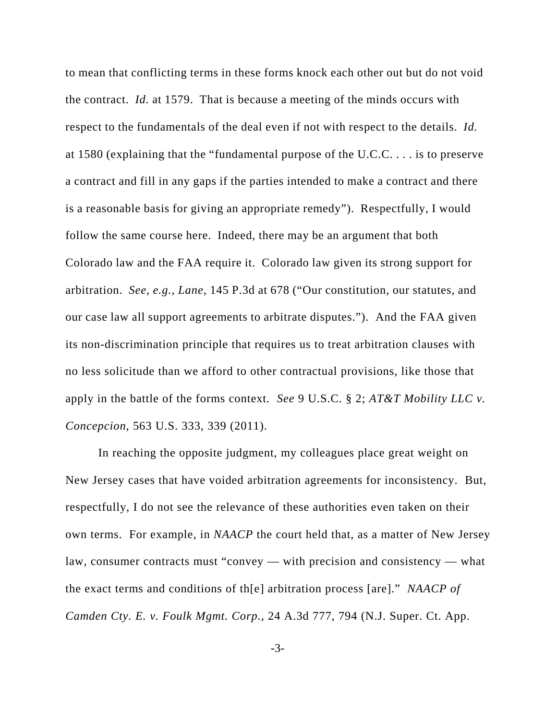to mean that conflicting terms in these forms knock each other out but do not void the contract. *Id.* at 1579. That is because a meeting of the minds occurs with respect to the fundamentals of the deal even if not with respect to the details. *Id.* at 1580 (explaining that the "fundamental purpose of the U.C.C. . . . is to preserve a contract and fill in any gaps if the parties intended to make a contract and there is a reasonable basis for giving an appropriate remedy"). Respectfully, I would follow the same course here. Indeed, there may be an argument that both Colorado law and the FAA require it. Colorado law given its strong support for arbitration. *See, e.g.*, *Lane*, 145 P.3d at 678 ("Our constitution, our statutes, and our case law all support agreements to arbitrate disputes."). And the FAA given its non-discrimination principle that requires us to treat arbitration clauses with no less solicitude than we afford to other contractual provisions, like those that apply in the battle of the forms context. *See* 9 U.S.C. § 2; *AT&T Mobility LLC v. Concepcion*, 563 U.S. 333, 339 (2011).

In reaching the opposite judgment, my colleagues place great weight on New Jersey cases that have voided arbitration agreements for inconsistency. But, respectfully, I do not see the relevance of these authorities even taken on their own terms. For example, in *NAACP* the court held that, as a matter of New Jersey law, consumer contracts must "convey — with precision and consistency — what the exact terms and conditions of th[e] arbitration process [are]." *NAACP of Camden Cty. E. v. Foulk Mgmt. Corp.*, 24 A.3d 777, 794 (N.J. Super. Ct. App.

-3-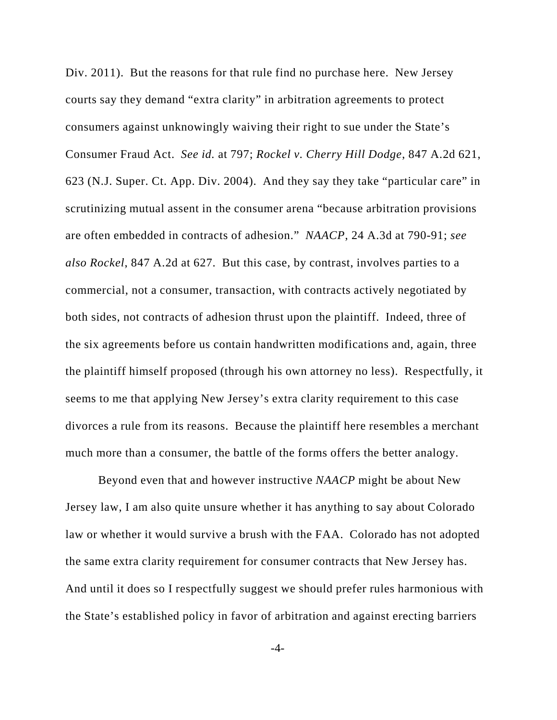Div. 2011). But the reasons for that rule find no purchase here. New Jersey courts say they demand "extra clarity" in arbitration agreements to protect consumers against unknowingly waiving their right to sue under the State's Consumer Fraud Act. *See id.* at 797; *Rockel v. Cherry Hill Dodge*, 847 A.2d 621, 623 (N.J. Super. Ct. App. Div. 2004). And they say they take "particular care" in scrutinizing mutual assent in the consumer arena "because arbitration provisions are often embedded in contracts of adhesion." *NAACP*, 24 A.3d at 790-91; *see also Rockel*, 847 A.2d at 627. But this case, by contrast, involves parties to a commercial, not a consumer, transaction, with contracts actively negotiated by both sides, not contracts of adhesion thrust upon the plaintiff. Indeed, three of the six agreements before us contain handwritten modifications and, again, three the plaintiff himself proposed (through his own attorney no less). Respectfully, it seems to me that applying New Jersey's extra clarity requirement to this case divorces a rule from its reasons. Because the plaintiff here resembles a merchant much more than a consumer, the battle of the forms offers the better analogy.

Beyond even that and however instructive *NAACP* might be about New Jersey law, I am also quite unsure whether it has anything to say about Colorado law or whether it would survive a brush with the FAA. Colorado has not adopted the same extra clarity requirement for consumer contracts that New Jersey has. And until it does so I respectfully suggest we should prefer rules harmonious with the State's established policy in favor of arbitration and against erecting barriers

-4-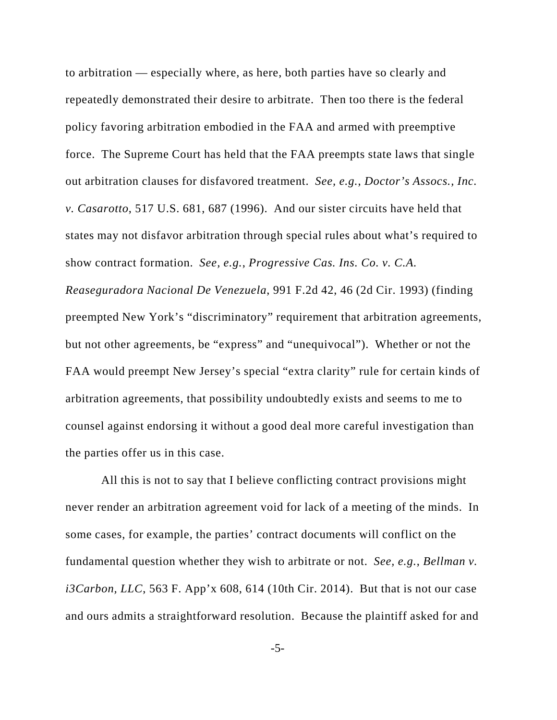to arbitration — especially where, as here, both parties have so clearly and repeatedly demonstrated their desire to arbitrate. Then too there is the federal policy favoring arbitration embodied in the FAA and armed with preemptive force. The Supreme Court has held that the FAA preempts state laws that single out arbitration clauses for disfavored treatment. *See, e.g.*, *Doctor's Assocs., Inc. v. Casarotto*, 517 U.S. 681, 687 (1996). And our sister circuits have held that states may not disfavor arbitration through special rules about what's required to show contract formation. *See, e.g.*, *Progressive Cas. Ins. Co. v. C.A.*

*Reaseguradora Nacional De Venezuela*, 991 F.2d 42, 46 (2d Cir. 1993) (finding preempted New York's "discriminatory" requirement that arbitration agreements, but not other agreements, be "express" and "unequivocal"). Whether or not the FAA would preempt New Jersey's special "extra clarity" rule for certain kinds of arbitration agreements, that possibility undoubtedly exists and seems to me to counsel against endorsing it without a good deal more careful investigation than the parties offer us in this case.

 All this is not to say that I believe conflicting contract provisions might never render an arbitration agreement void for lack of a meeting of the minds. In some cases, for example, the parties' contract documents will conflict on the fundamental question whether they wish to arbitrate or not. *See, e.g.*, *Bellman v. i3Carbon, LLC*, 563 F. App'x 608, 614 (10th Cir. 2014). But that is not our case and ours admits a straightforward resolution. Because the plaintiff asked for and

-5-